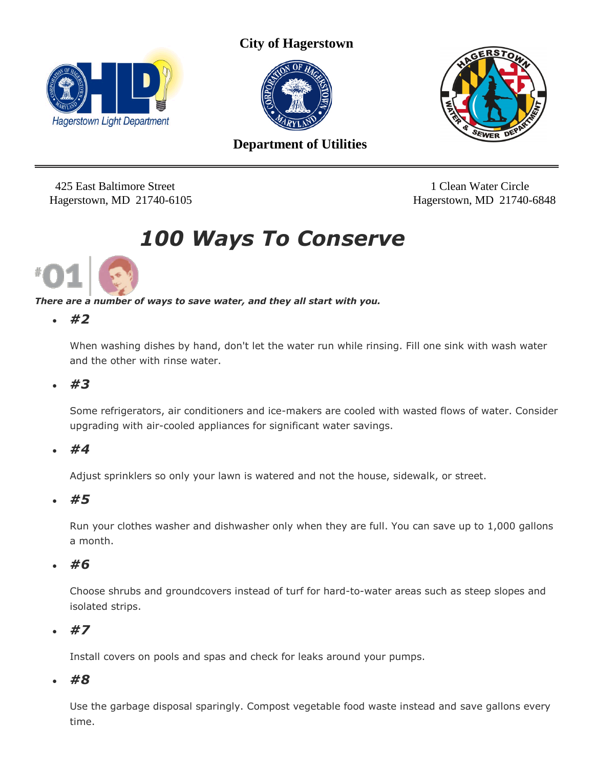

**City of Hagerstown** 





 **Department of Utilities**

425 East Baltimore Street 1 Clean Water Circle

Hagerstown, MD 21740-6105 Hagerstown, MD 21740-6848

# *100 Ways To Conserve*



*There are a number of ways to save water, and they all start with you.*

*#2*

When washing dishes by hand, don't let the water run while rinsing. Fill one sink with wash water and the other with rinse water.

*#3*

Some refrigerators, air conditioners and ice-makers are cooled with wasted flows of water. Consider upgrading with air-cooled appliances for significant water savings.

*#4*

Adjust sprinklers so only your lawn is watered and not the house, sidewalk, or street.

*#5*

Run your clothes washer and dishwasher only when they are full. You can save up to 1,000 gallons a month.

*#6*

Choose shrubs and groundcovers instead of turf for hard-to-water areas such as steep slopes and isolated strips.

*#7*

Install covers on pools and spas and check for leaks around your pumps.

*#8*

Use the garbage disposal sparingly. Compost vegetable food waste instead and save gallons every time.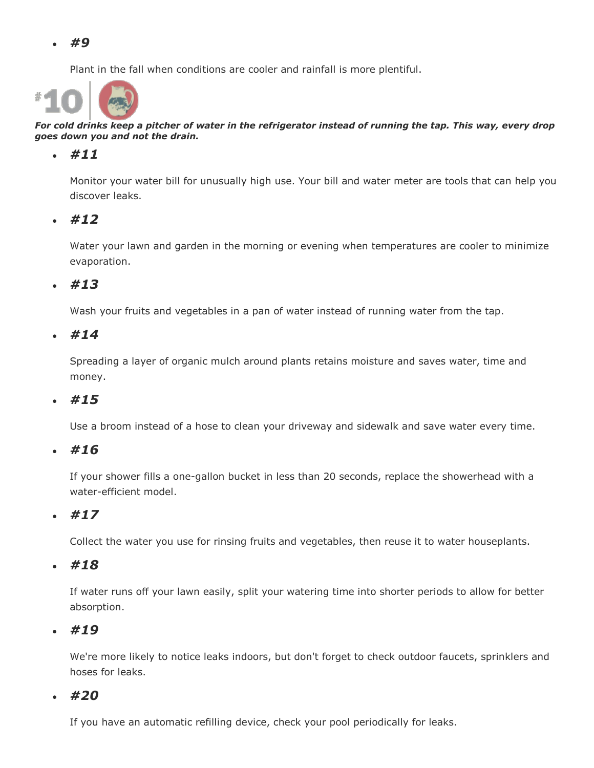Plant in the fall when conditions are cooler and rainfall is more plentiful.



*For cold drinks keep a pitcher of water in the refrigerator instead of running the tap. This way, every drop goes down you and not the drain.*

#### *#11*

Monitor your water bill for unusually high use. Your bill and water meter are tools that can help you discover leaks.

*#12*

Water your lawn and garden in the morning or evening when temperatures are cooler to minimize evaporation.

*#13*

Wash your fruits and vegetables in a pan of water instead of running water from the tap.

*#14*

Spreading a layer of organic mulch around plants retains moisture and saves water, time and money.

*#15*

Use a broom instead of a hose to clean your driveway and sidewalk and save water every time.

*#16*

If your shower fills a one-gallon bucket in less than 20 seconds, replace the showerhead with a water-efficient model.

*#17*

Collect the water you use for rinsing fruits and vegetables, then reuse it to water houseplants.

*#18*

If water runs off your lawn easily, split your watering time into shorter periods to allow for better absorption.

*#19*

We're more likely to notice leaks indoors, but don't forget to check outdoor faucets, sprinklers and hoses for leaks.

*#20*

If you have an automatic refilling device, check your pool periodically for leaks.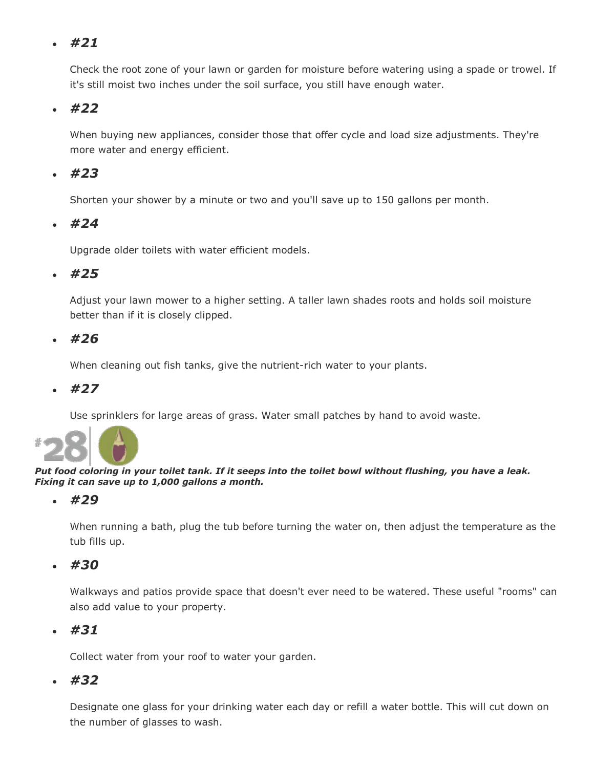Check the root zone of your lawn or garden for moisture before watering using a spade or trowel. If it's still moist two inches under the soil surface, you still have enough water.

# *#22*

When buying new appliances, consider those that offer cycle and load size adjustments. They're more water and energy efficient.

## *#23*

Shorten your shower by a minute or two and you'll save up to 150 gallons per month.

#### *#24*

Upgrade older toilets with water efficient models.

## *#25*

Adjust your lawn mower to a higher setting. A taller lawn shades roots and holds soil moisture better than if it is closely clipped.

#### *#26*

When cleaning out fish tanks, give the nutrient-rich water to your plants.

*#27*

Use sprinklers for large areas of grass. Water small patches by hand to avoid waste.



#### *Put food coloring in your toilet tank. If it seeps into the toilet bowl without flushing, you have a leak. Fixing it can save up to 1,000 gallons a month.*

*#29*

When running a bath, plug the tub before turning the water on, then adjust the temperature as the tub fills up.

*#30*

Walkways and patios provide space that doesn't ever need to be watered. These useful "rooms" can also add value to your property.

*#31*

Collect water from your roof to water your garden.

*#32*

Designate one glass for your drinking water each day or refill a water bottle. This will cut down on the number of glasses to wash.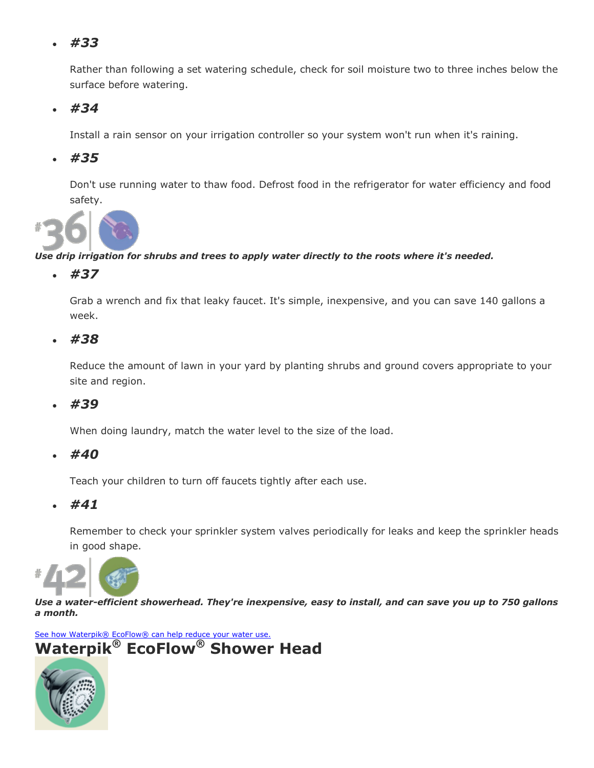Rather than following a set watering schedule, check for soil moisture two to three inches below the surface before watering.

*#34*

Install a rain sensor on your irrigation controller so your system won't run when it's raining.

*#35*

Don't use running water to thaw food. Defrost food in the refrigerator for water efficiency and food safety.



#### *Use drip irrigation for shrubs and trees to apply water directly to the roots where it's needed.*

*#37*

Grab a wrench and fix that leaky faucet. It's simple, inexpensive, and you can save 140 gallons a week.

*#38*

Reduce the amount of lawn in your yard by planting shrubs and ground covers appropriate to your site and region.

*#39*

When doing laundry, match the water level to the size of the load.

*#40*

Teach your children to turn off faucets tightly after each use.

*#41*

Remember to check your sprinkler system valves periodically for leaks and keep the sprinkler heads in good shape.



*Use a water-efficient showerhead. They're inexpensive, easy to install, and can save you up to 750 gallons a month.*

[See how Waterpik® EcoFlow® can help reduce your water use.](http://www.wateruseitwisely.com/100-ways-to-conserve/index.php#data) **Waterpik® EcoFlow® Shower Head**

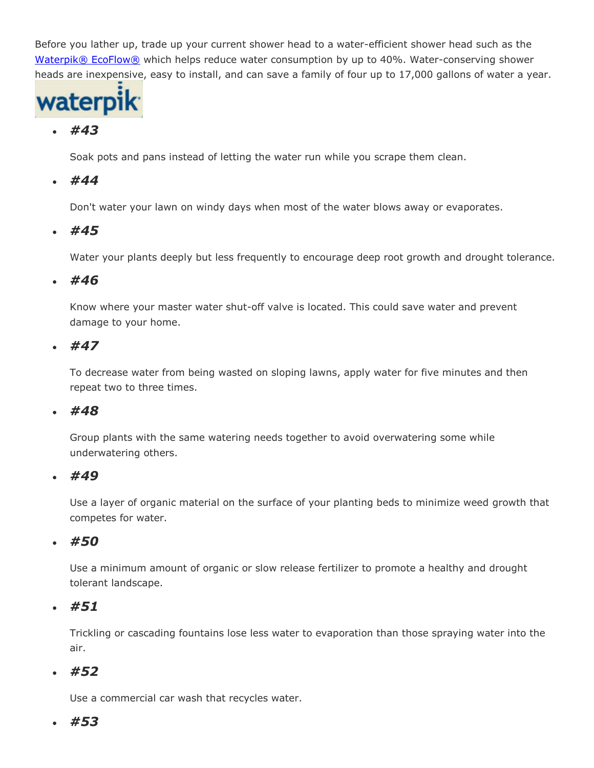Before you lather up, trade up your current shower head to a water-efficient shower head such as the [Waterpik®](http://www.waterpikecoflow.com/wuiwrebate.html) EcoFlow® which helps reduce water consumption by up to 40%. Water-conserving shower heads are inexpensive, easy to install, and can save a family of four up to 17,000 gallons of water a year.



# *#43*

Soak pots and pans instead of letting the water run while you scrape them clean.

## *#44*

Don't water your lawn on windy days when most of the water blows away or evaporates.

## *#45*

Water your plants deeply but less frequently to encourage deep root growth and drought tolerance.

#### *#46*

Know where your master water shut-off valve is located. This could save water and prevent damage to your home.

## *#47*

To decrease water from being wasted on sloping lawns, apply water for five minutes and then repeat two to three times.

#### *#48*

Group plants with the same watering needs together to avoid overwatering some while underwatering others.

#### *#49*

Use a layer of organic material on the surface of your planting beds to minimize weed growth that competes for water.

## *#50*

Use a minimum amount of organic or slow release fertilizer to promote a healthy and drought tolerant landscape.

## *#51*

Trickling or cascading fountains lose less water to evaporation than those spraying water into the air.

## *#52*

Use a commercial car wash that recycles water.

## *#53*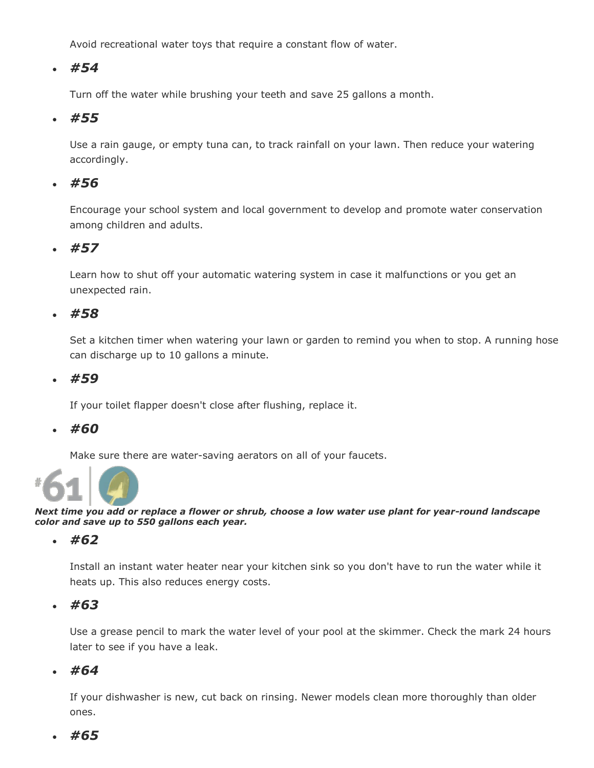Avoid recreational water toys that require a constant flow of water.

# *#54*

Turn off the water while brushing your teeth and save 25 gallons a month.

#### *#55*

Use a rain gauge, or empty tuna can, to track rainfall on your lawn. Then reduce your watering accordingly.

## *#56*

Encourage your school system and local government to develop and promote water conservation among children and adults.

#### *#57*

Learn how to shut off your automatic watering system in case it malfunctions or you get an unexpected rain.

#### *#58*

Set a kitchen timer when watering your lawn or garden to remind you when to stop. A running hose can discharge up to 10 gallons a minute.

#### *#59*

If your toilet flapper doesn't close after flushing, replace it.

#### *#60*

Make sure there are water-saving aerators on all of your faucets.



*Next time you add or replace a flower or shrub, choose a low water use plant for year-round landscape color and save up to 550 gallons each year.*

#### *#62*

Install an instant water heater near your kitchen sink so you don't have to run the water while it heats up. This also reduces energy costs.

#### *#63*

Use a grease pencil to mark the water level of your pool at the skimmer. Check the mark 24 hours later to see if you have a leak.

#### *#64*

If your dishwasher is new, cut back on rinsing. Newer models clean more thoroughly than older ones.

#### *#65*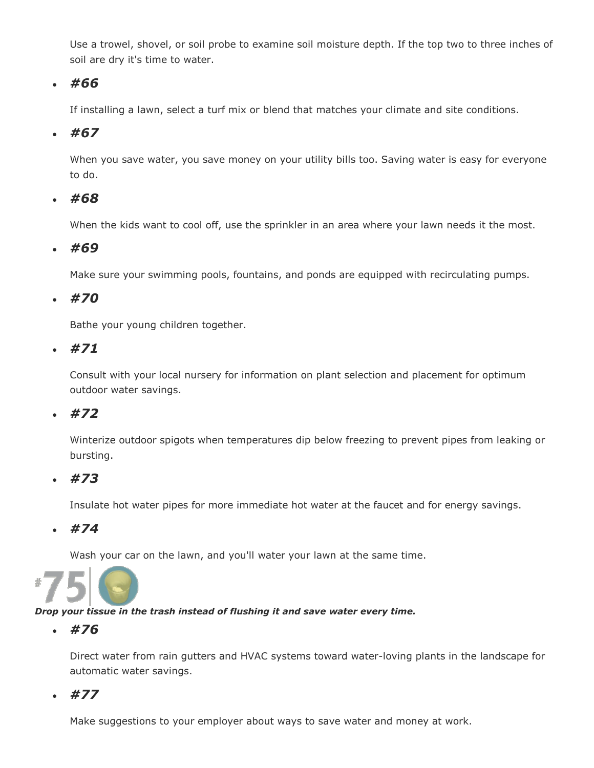Use a trowel, shovel, or soil probe to examine soil moisture depth. If the top two to three inches of soil are dry it's time to water.

# *#66*

If installing a lawn, select a turf mix or blend that matches your climate and site conditions.

# *#67*

When you save water, you save money on your utility bills too. Saving water is easy for everyone to do.

# *#68*

When the kids want to cool off, use the sprinkler in an area where your lawn needs it the most.

# *#69*

Make sure your swimming pools, fountains, and ponds are equipped with recirculating pumps.

# *#70*

Bathe your young children together.

*#71*

Consult with your local nursery for information on plant selection and placement for optimum outdoor water savings.

## *#72*

Winterize outdoor spigots when temperatures dip below freezing to prevent pipes from leaking or bursting.

## *#73*

Insulate hot water pipes for more immediate hot water at the faucet and for energy savings.

*#74*

Wash your car on the lawn, and you'll water your lawn at the same time.



#### *Drop your tissue in the trash instead of flushing it and save water every time.*

*#76*

Direct water from rain gutters and HVAC systems toward water-loving plants in the landscape for automatic water savings.

*#77*

Make suggestions to your employer about ways to save water and money at work.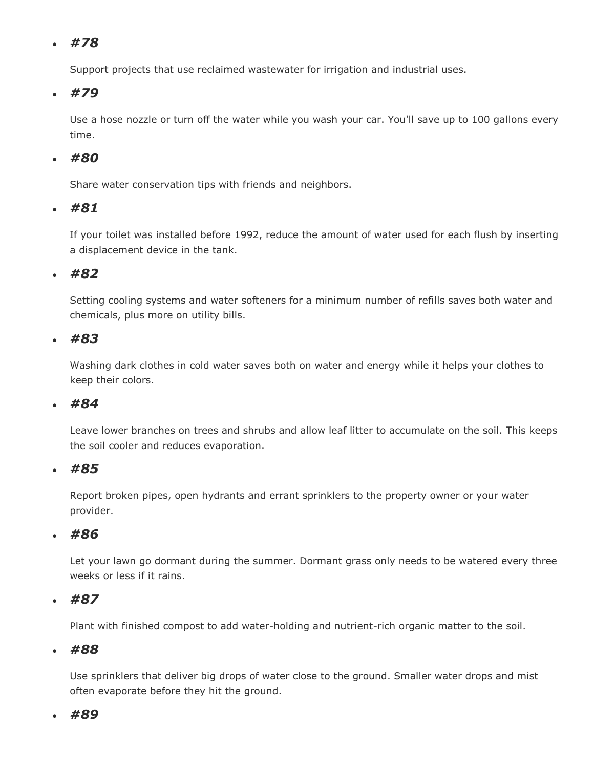Support projects that use reclaimed wastewater for irrigation and industrial uses.

# *#79*

Use a hose nozzle or turn off the water while you wash your car. You'll save up to 100 gallons every time.

# *#80*

Share water conservation tips with friends and neighbors.

## *#81*

If your toilet was installed before 1992, reduce the amount of water used for each flush by inserting a displacement device in the tank.

## *#82*

Setting cooling systems and water softeners for a minimum number of refills saves both water and chemicals, plus more on utility bills.

## *#83*

Washing dark clothes in cold water saves both on water and energy while it helps your clothes to keep their colors.

## *#84*

Leave lower branches on trees and shrubs and allow leaf litter to accumulate on the soil. This keeps the soil cooler and reduces evaporation.

## *#85*

Report broken pipes, open hydrants and errant sprinklers to the property owner or your water provider.

## *#86*

Let your lawn go dormant during the summer. Dormant grass only needs to be watered every three weeks or less if it rains.

## *#87*

Plant with finished compost to add water-holding and nutrient-rich organic matter to the soil.

#### *#88*

Use sprinklers that deliver big drops of water close to the ground. Smaller water drops and mist often evaporate before they hit the ground.

#### *#89*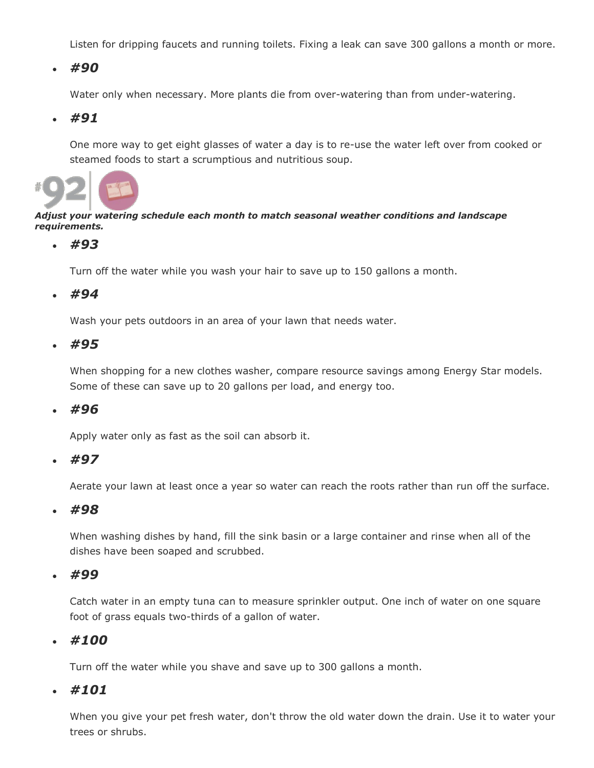Listen for dripping faucets and running toilets. Fixing a leak can save 300 gallons a month or more.

#### *#90*

Water only when necessary. More plants die from over-watering than from under-watering.

#### *#91*

One more way to get eight glasses of water a day is to re-use the water left over from cooked or steamed foods to start a scrumptious and nutritious soup.



#### *Adjust your watering schedule each month to match seasonal weather conditions and landscape requirements.*

#### *#93*

Turn off the water while you wash your hair to save up to 150 gallons a month.

#### *#94*

Wash your pets outdoors in an area of your lawn that needs water.

*#95*

When shopping for a new clothes washer, compare resource savings among Energy Star models. Some of these can save up to 20 gallons per load, and energy too.

*#96*

Apply water only as fast as the soil can absorb it.

*#97*

Aerate your lawn at least once a year so water can reach the roots rather than run off the surface.

*#98*

When washing dishes by hand, fill the sink basin or a large container and rinse when all of the dishes have been soaped and scrubbed.

*#99*

Catch water in an empty tuna can to measure sprinkler output. One inch of water on one square foot of grass equals two-thirds of a gallon of water.

#### *#100*

Turn off the water while you shave and save up to 300 gallons a month.

#### *#101*

When you give your pet fresh water, don't throw the old water down the drain. Use it to water your trees or shrubs.